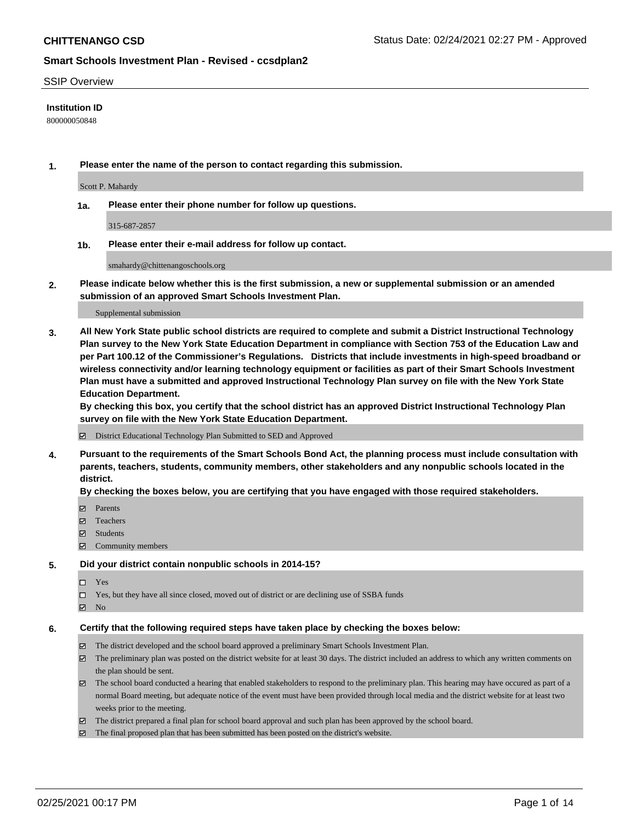### SSIP Overview

### **Institution ID**

800000050848

**1. Please enter the name of the person to contact regarding this submission.**

Scott P. Mahardy

**1a. Please enter their phone number for follow up questions.**

315-687-2857

**1b. Please enter their e-mail address for follow up contact.**

smahardy@chittenangoschools.org

**2. Please indicate below whether this is the first submission, a new or supplemental submission or an amended submission of an approved Smart Schools Investment Plan.**

#### Supplemental submission

**3. All New York State public school districts are required to complete and submit a District Instructional Technology Plan survey to the New York State Education Department in compliance with Section 753 of the Education Law and per Part 100.12 of the Commissioner's Regulations. Districts that include investments in high-speed broadband or wireless connectivity and/or learning technology equipment or facilities as part of their Smart Schools Investment Plan must have a submitted and approved Instructional Technology Plan survey on file with the New York State Education Department.** 

**By checking this box, you certify that the school district has an approved District Instructional Technology Plan survey on file with the New York State Education Department.**

District Educational Technology Plan Submitted to SED and Approved

**4. Pursuant to the requirements of the Smart Schools Bond Act, the planning process must include consultation with parents, teachers, students, community members, other stakeholders and any nonpublic schools located in the district.** 

### **By checking the boxes below, you are certifying that you have engaged with those required stakeholders.**

- **Ø** Parents
- Teachers
- Students
- Community members

#### **5. Did your district contain nonpublic schools in 2014-15?**

Yes

- □ Yes, but they have all since closed, moved out of district or are declining use of SSBA funds
- **Ø** No

#### **6. Certify that the following required steps have taken place by checking the boxes below:**

- The district developed and the school board approved a preliminary Smart Schools Investment Plan.
- The preliminary plan was posted on the district website for at least 30 days. The district included an address to which any written comments on the plan should be sent.
- The school board conducted a hearing that enabled stakeholders to respond to the preliminary plan. This hearing may have occured as part of a normal Board meeting, but adequate notice of the event must have been provided through local media and the district website for at least two weeks prior to the meeting.
- The district prepared a final plan for school board approval and such plan has been approved by the school board.
- $\boxtimes$  The final proposed plan that has been submitted has been posted on the district's website.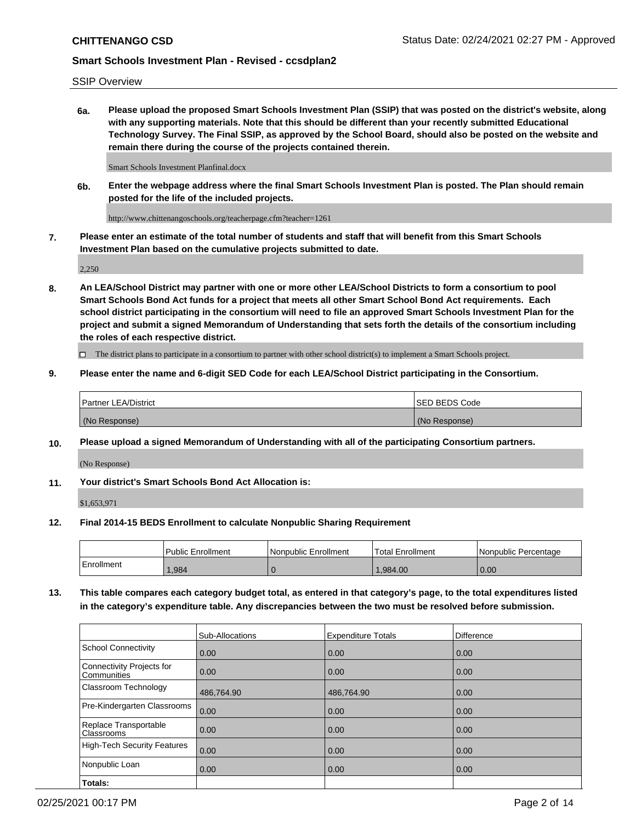# SSIP Overview

**6a. Please upload the proposed Smart Schools Investment Plan (SSIP) that was posted on the district's website, along with any supporting materials. Note that this should be different than your recently submitted Educational Technology Survey. The Final SSIP, as approved by the School Board, should also be posted on the website and remain there during the course of the projects contained therein.**

Smart Schools Investment Planfinal.docx

**6b. Enter the webpage address where the final Smart Schools Investment Plan is posted. The Plan should remain posted for the life of the included projects.**

http://www.chittenangoschools.org/teacherpage.cfm?teacher=1261

**7. Please enter an estimate of the total number of students and staff that will benefit from this Smart Schools Investment Plan based on the cumulative projects submitted to date.**

2,250

**8. An LEA/School District may partner with one or more other LEA/School Districts to form a consortium to pool Smart Schools Bond Act funds for a project that meets all other Smart School Bond Act requirements. Each school district participating in the consortium will need to file an approved Smart Schools Investment Plan for the project and submit a signed Memorandum of Understanding that sets forth the details of the consortium including the roles of each respective district.**

 $\Box$  The district plans to participate in a consortium to partner with other school district(s) to implement a Smart Schools project.

# **9. Please enter the name and 6-digit SED Code for each LEA/School District participating in the Consortium.**

| <b>Partner LEA/District</b> | <b>ISED BEDS Code</b> |
|-----------------------------|-----------------------|
| (No Response)               | (No Response)         |

# **10. Please upload a signed Memorandum of Understanding with all of the participating Consortium partners.**

(No Response)

# **11. Your district's Smart Schools Bond Act Allocation is:**

\$1,653,971

# **12. Final 2014-15 BEDS Enrollment to calculate Nonpublic Sharing Requirement**

|            | Public Enrollment | Nonpublic Enrollment | Total Enrollment | Nonpublic Percentage |
|------------|-------------------|----------------------|------------------|----------------------|
| Enrollment | .984              |                      | .984.00          | 0.00                 |

**13. This table compares each category budget total, as entered in that category's page, to the total expenditures listed in the category's expenditure table. Any discrepancies between the two must be resolved before submission.**

|                                          | Sub-Allocations | <b>Expenditure Totals</b> | Difference |
|------------------------------------------|-----------------|---------------------------|------------|
| <b>School Connectivity</b>               | 0.00            | 0.00                      | 0.00       |
| Connectivity Projects for<br>Communities | 0.00            | 0.00                      | 0.00       |
| Classroom Technology                     | 486,764.90      | 486,764.90                | 0.00       |
| Pre-Kindergarten Classrooms              | 0.00            | 0.00                      | 0.00       |
| Replace Transportable<br>Classrooms      | 0.00            | 0.00                      | 0.00       |
| <b>High-Tech Security Features</b>       | 0.00            | 0.00                      | 0.00       |
| Nonpublic Loan                           | 0.00            | 0.00                      | 0.00       |
| Totals:                                  |                 |                           |            |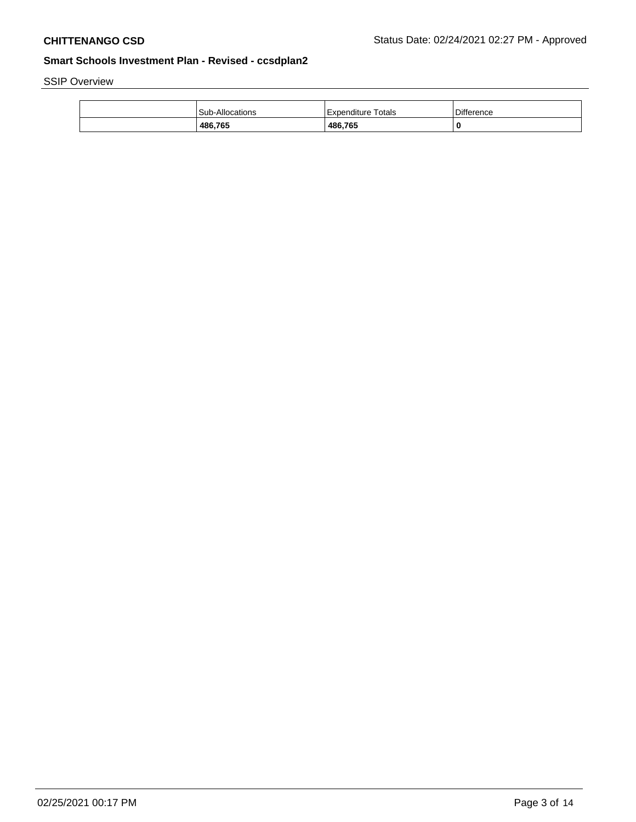SSIP Overview

| Sub-Allocations | Totals<br>Expenditure | <b>Difference</b> |
|-----------------|-----------------------|-------------------|
| 486,765         | 486,765               |                   |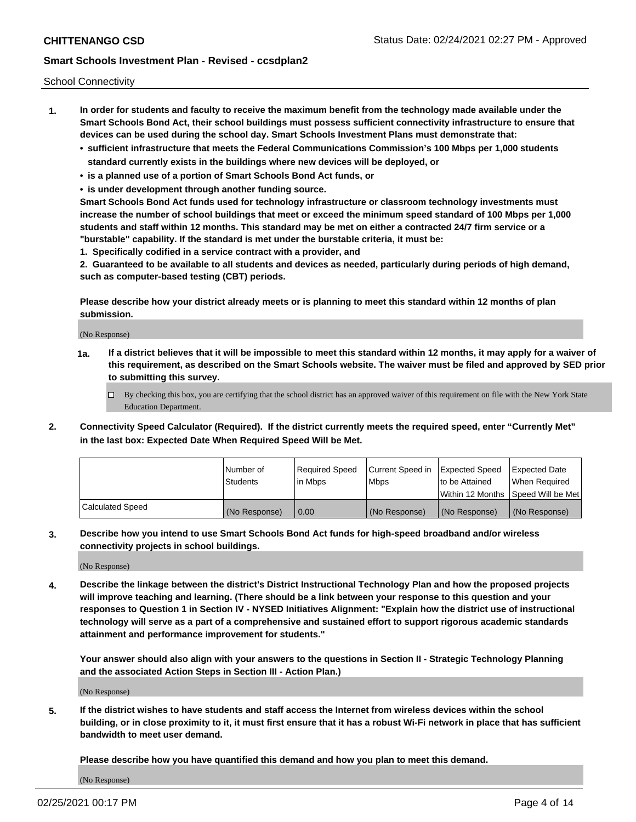School Connectivity

- **1. In order for students and faculty to receive the maximum benefit from the technology made available under the Smart Schools Bond Act, their school buildings must possess sufficient connectivity infrastructure to ensure that devices can be used during the school day. Smart Schools Investment Plans must demonstrate that:**
	- **• sufficient infrastructure that meets the Federal Communications Commission's 100 Mbps per 1,000 students standard currently exists in the buildings where new devices will be deployed, or**
	- **• is a planned use of a portion of Smart Schools Bond Act funds, or**
	- **• is under development through another funding source.**

**Smart Schools Bond Act funds used for technology infrastructure or classroom technology investments must increase the number of school buildings that meet or exceed the minimum speed standard of 100 Mbps per 1,000 students and staff within 12 months. This standard may be met on either a contracted 24/7 firm service or a "burstable" capability. If the standard is met under the burstable criteria, it must be:**

**1. Specifically codified in a service contract with a provider, and**

**2. Guaranteed to be available to all students and devices as needed, particularly during periods of high demand, such as computer-based testing (CBT) periods.**

**Please describe how your district already meets or is planning to meet this standard within 12 months of plan submission.**

(No Response)

**1a. If a district believes that it will be impossible to meet this standard within 12 months, it may apply for a waiver of this requirement, as described on the Smart Schools website. The waiver must be filed and approved by SED prior to submitting this survey.**

 $\Box$  By checking this box, you are certifying that the school district has an approved waiver of this requirement on file with the New York State Education Department.

**2. Connectivity Speed Calculator (Required). If the district currently meets the required speed, enter "Currently Met" in the last box: Expected Date When Required Speed Will be Met.**

|                  | l Number of   | Required Speed | Current Speed in | Expected Speed | Expected Date                           |
|------------------|---------------|----------------|------------------|----------------|-----------------------------------------|
|                  | Students      | In Mbps        | l Mbps           | to be Attained | When Required                           |
|                  |               |                |                  |                | l Within 12 Months ISpeed Will be Met l |
| Calculated Speed | (No Response) | 0.00           | (No Response)    | (No Response)  | (No Response)                           |

**3. Describe how you intend to use Smart Schools Bond Act funds for high-speed broadband and/or wireless connectivity projects in school buildings.**

(No Response)

**4. Describe the linkage between the district's District Instructional Technology Plan and how the proposed projects will improve teaching and learning. (There should be a link between your response to this question and your responses to Question 1 in Section IV - NYSED Initiatives Alignment: "Explain how the district use of instructional technology will serve as a part of a comprehensive and sustained effort to support rigorous academic standards attainment and performance improvement for students."** 

**Your answer should also align with your answers to the questions in Section II - Strategic Technology Planning and the associated Action Steps in Section III - Action Plan.)**

(No Response)

**5. If the district wishes to have students and staff access the Internet from wireless devices within the school building, or in close proximity to it, it must first ensure that it has a robust Wi-Fi network in place that has sufficient bandwidth to meet user demand.**

**Please describe how you have quantified this demand and how you plan to meet this demand.**

(No Response)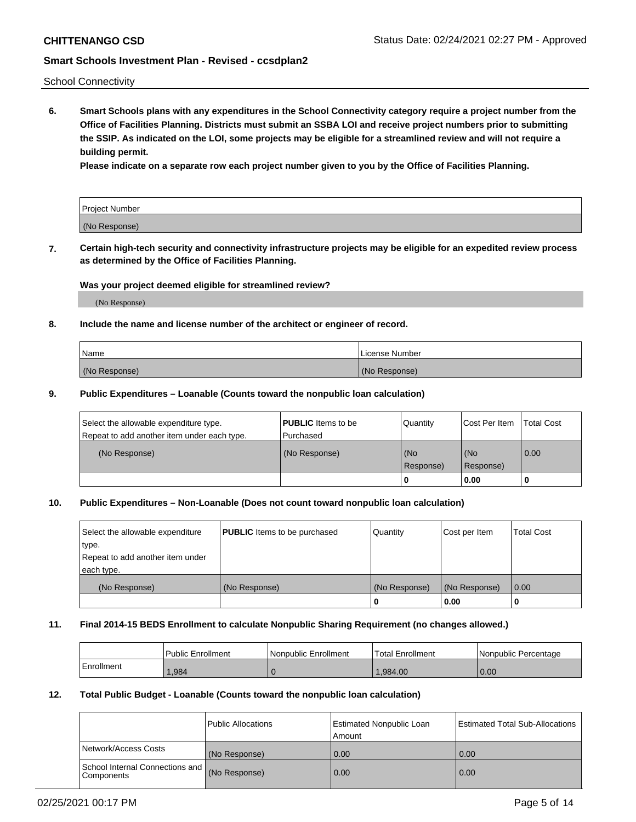School Connectivity

**6. Smart Schools plans with any expenditures in the School Connectivity category require a project number from the Office of Facilities Planning. Districts must submit an SSBA LOI and receive project numbers prior to submitting the SSIP. As indicated on the LOI, some projects may be eligible for a streamlined review and will not require a building permit.**

**Please indicate on a separate row each project number given to you by the Office of Facilities Planning.**

| Project Number |  |
|----------------|--|
| (No Response)  |  |

**7. Certain high-tech security and connectivity infrastructure projects may be eligible for an expedited review process as determined by the Office of Facilities Planning.**

# **Was your project deemed eligible for streamlined review?**

(No Response)

## **8. Include the name and license number of the architect or engineer of record.**

| Name          | License Number |
|---------------|----------------|
| (No Response) | (No Response)  |

### **9. Public Expenditures – Loanable (Counts toward the nonpublic loan calculation)**

| Select the allowable expenditure type.<br>Repeat to add another item under each type. | <b>PUBLIC</b> Items to be<br>l Purchased | Quantity           | Cost Per Item    | <b>Total Cost</b> |
|---------------------------------------------------------------------------------------|------------------------------------------|--------------------|------------------|-------------------|
| (No Response)                                                                         | (No Response)                            | l (No<br>Response) | (No<br>Response) | $\overline{0.00}$ |
|                                                                                       |                                          | O                  | 0.00             |                   |

# **10. Public Expenditures – Non-Loanable (Does not count toward nonpublic loan calculation)**

| Select the allowable expenditure<br>type.<br>Repeat to add another item under<br>each type. | <b>PUBLIC</b> Items to be purchased | Quantity      | Cost per Item | <b>Total Cost</b> |
|---------------------------------------------------------------------------------------------|-------------------------------------|---------------|---------------|-------------------|
| (No Response)                                                                               | (No Response)                       | (No Response) | (No Response) | 0.00              |
|                                                                                             |                                     |               | 0.00          |                   |

#### **11. Final 2014-15 BEDS Enrollment to calculate Nonpublic Sharing Requirement (no changes allowed.)**

|            | Public Enrollment | l Nonpublic Enrollment | <b>Total Enrollment</b> | Nonpublic Percentage |
|------------|-------------------|------------------------|-------------------------|----------------------|
| Enrollment | .984              |                        | .984.00                 | 0.00                 |

### **12. Total Public Budget - Loanable (Counts toward the nonpublic loan calculation)**

|                                                      | Public Allocations | <b>Estimated Nonpublic Loan</b><br>Amount | Estimated Total Sub-Allocations |
|------------------------------------------------------|--------------------|-------------------------------------------|---------------------------------|
| Network/Access Costs                                 | (No Response)      | 0.00                                      | 0.00                            |
| School Internal Connections and<br><b>Components</b> | (No Response)      | 0.00                                      | 0.00                            |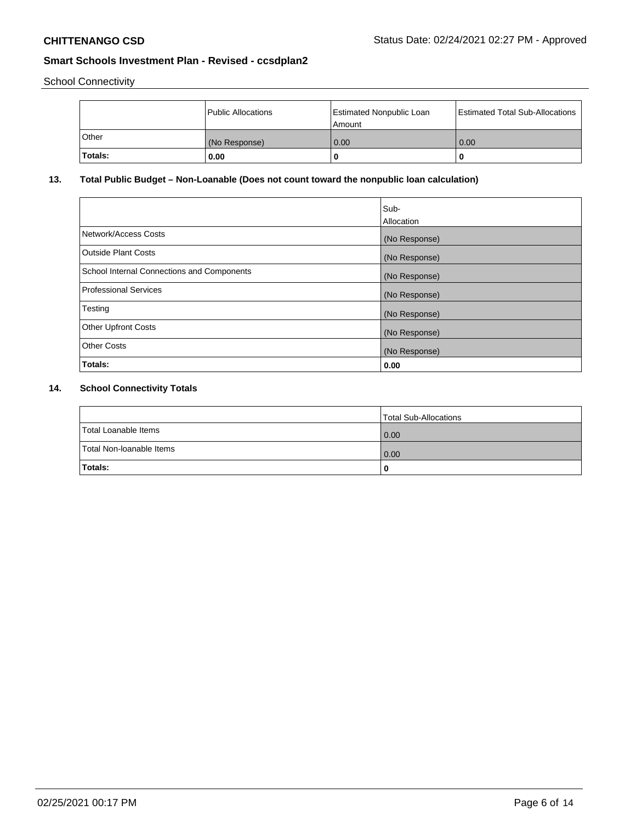School Connectivity

|         | Public Allocations | <b>Estimated Nonpublic Loan</b><br>Amount | <b>Estimated Total Sub-Allocations</b> |
|---------|--------------------|-------------------------------------------|----------------------------------------|
| ⊺Other  | (No Response)      | 0.00                                      | 0.00                                   |
| Totals: | 0.00               |                                           | 0                                      |

# **13. Total Public Budget – Non-Loanable (Does not count toward the nonpublic loan calculation)**

|                                                   | Sub-<br>Allocation |
|---------------------------------------------------|--------------------|
| Network/Access Costs                              | (No Response)      |
| <b>Outside Plant Costs</b>                        | (No Response)      |
| <b>School Internal Connections and Components</b> | (No Response)      |
| <b>Professional Services</b>                      | (No Response)      |
| Testing                                           | (No Response)      |
| <b>Other Upfront Costs</b>                        | (No Response)      |
| <b>Other Costs</b>                                | (No Response)      |
| Totals:                                           | 0.00               |

# **14. School Connectivity Totals**

|                          | Total Sub-Allocations |
|--------------------------|-----------------------|
| Total Loanable Items     | 0.00                  |
| Total Non-Ioanable Items | 0.00                  |
| Totals:                  | 0                     |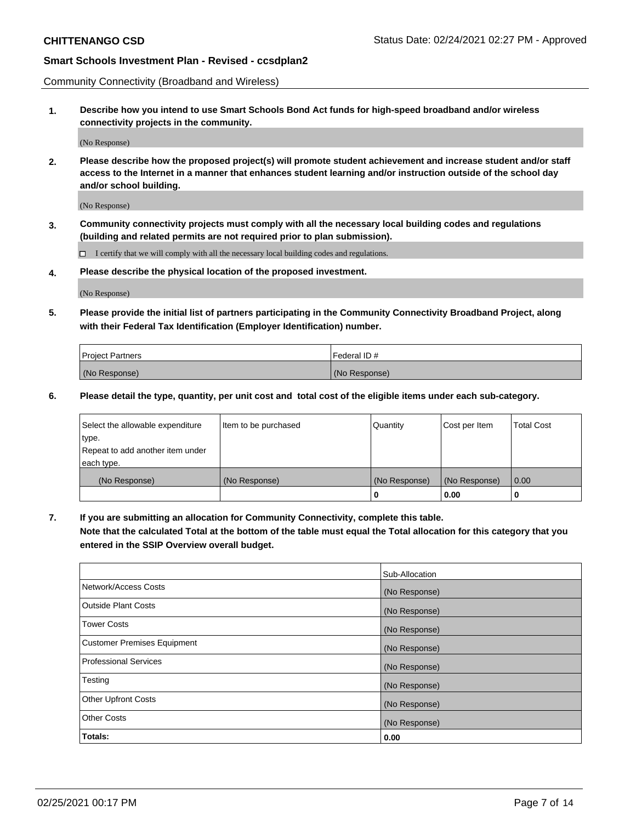Community Connectivity (Broadband and Wireless)

**1. Describe how you intend to use Smart Schools Bond Act funds for high-speed broadband and/or wireless connectivity projects in the community.**

(No Response)

**2. Please describe how the proposed project(s) will promote student achievement and increase student and/or staff access to the Internet in a manner that enhances student learning and/or instruction outside of the school day and/or school building.**

(No Response)

**3. Community connectivity projects must comply with all the necessary local building codes and regulations (building and related permits are not required prior to plan submission).**

 $\Box$  I certify that we will comply with all the necessary local building codes and regulations.

**4. Please describe the physical location of the proposed investment.**

(No Response)

**5. Please provide the initial list of partners participating in the Community Connectivity Broadband Project, along with their Federal Tax Identification (Employer Identification) number.**

| <b>Project Partners</b> | l Federal ID # |
|-------------------------|----------------|
| (No Response)           | (No Response)  |

**6. Please detail the type, quantity, per unit cost and total cost of the eligible items under each sub-category.**

| Select the allowable expenditure | Item to be purchased | Quantity      | Cost per Item | <b>Total Cost</b> |
|----------------------------------|----------------------|---------------|---------------|-------------------|
| type.                            |                      |               |               |                   |
| Repeat to add another item under |                      |               |               |                   |
| each type.                       |                      |               |               |                   |
| (No Response)                    | (No Response)        | (No Response) | (No Response) | 0.00              |
|                                  |                      | o             | 0.00          |                   |

**7. If you are submitting an allocation for Community Connectivity, complete this table.**

**Note that the calculated Total at the bottom of the table must equal the Total allocation for this category that you entered in the SSIP Overview overall budget.**

|                                    | Sub-Allocation |
|------------------------------------|----------------|
| Network/Access Costs               | (No Response)  |
| Outside Plant Costs                | (No Response)  |
| <b>Tower Costs</b>                 | (No Response)  |
| <b>Customer Premises Equipment</b> | (No Response)  |
| <b>Professional Services</b>       | (No Response)  |
| Testing                            | (No Response)  |
| <b>Other Upfront Costs</b>         | (No Response)  |
| <b>Other Costs</b>                 | (No Response)  |
| Totals:                            | 0.00           |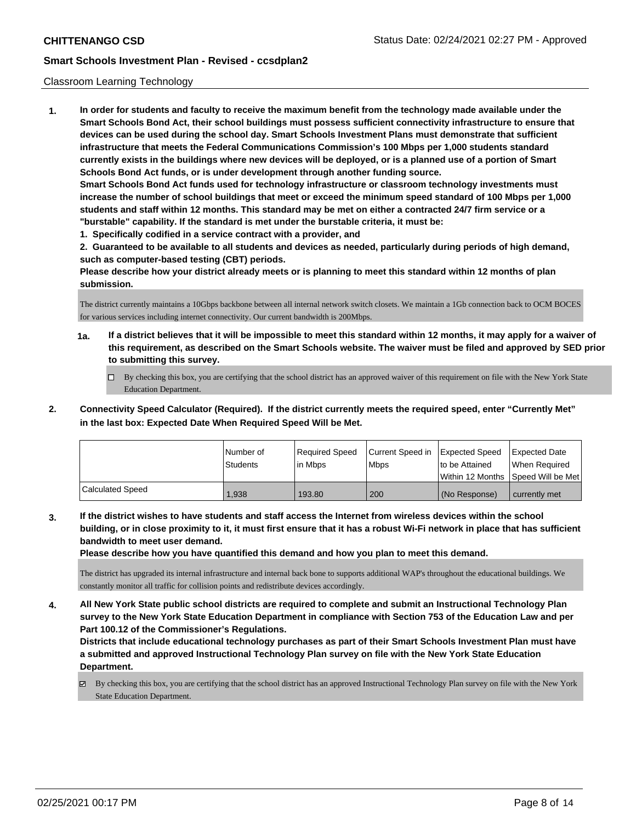### Classroom Learning Technology

**1. In order for students and faculty to receive the maximum benefit from the technology made available under the Smart Schools Bond Act, their school buildings must possess sufficient connectivity infrastructure to ensure that devices can be used during the school day. Smart Schools Investment Plans must demonstrate that sufficient infrastructure that meets the Federal Communications Commission's 100 Mbps per 1,000 students standard currently exists in the buildings where new devices will be deployed, or is a planned use of a portion of Smart Schools Bond Act funds, or is under development through another funding source. Smart Schools Bond Act funds used for technology infrastructure or classroom technology investments must increase the number of school buildings that meet or exceed the minimum speed standard of 100 Mbps per 1,000 students and staff within 12 months. This standard may be met on either a contracted 24/7 firm service or a "burstable" capability. If the standard is met under the burstable criteria, it must be:**

**1. Specifically codified in a service contract with a provider, and**

**2. Guaranteed to be available to all students and devices as needed, particularly during periods of high demand, such as computer-based testing (CBT) periods.**

**Please describe how your district already meets or is planning to meet this standard within 12 months of plan submission.**

The district currently maintains a 10Gbps backbone between all internal network switch closets. We maintain a 1Gb connection back to OCM BOCES for various services including internet connectivity. Our current bandwidth is 200Mbps.

- **1a. If a district believes that it will be impossible to meet this standard within 12 months, it may apply for a waiver of this requirement, as described on the Smart Schools website. The waiver must be filed and approved by SED prior to submitting this survey.**
	- By checking this box, you are certifying that the school district has an approved waiver of this requirement on file with the New York State Education Department.
- **2. Connectivity Speed Calculator (Required). If the district currently meets the required speed, enter "Currently Met" in the last box: Expected Date When Required Speed Will be Met.**

|                  | l Number of<br><b>Students</b> | Required Speed<br>l in Mbps | Current Speed in Expected Speed<br><b>Mbps</b> | to be Attained  | Expected Date<br>When Required<br> Within 12 Months  Speed Will be Met |
|------------------|--------------------------------|-----------------------------|------------------------------------------------|-----------------|------------------------------------------------------------------------|
| Calculated Speed | 1.938                          | 193.80                      | 200                                            | l (No Response) | currently met                                                          |

**3. If the district wishes to have students and staff access the Internet from wireless devices within the school building, or in close proximity to it, it must first ensure that it has a robust Wi-Fi network in place that has sufficient bandwidth to meet user demand.**

**Please describe how you have quantified this demand and how you plan to meet this demand.**

The district has upgraded its internal infrastructure and internal back bone to supports additional WAP's throughout the educational buildings. We constantly monitor all traffic for collision points and redistribute devices accordingly.

**4. All New York State public school districts are required to complete and submit an Instructional Technology Plan survey to the New York State Education Department in compliance with Section 753 of the Education Law and per Part 100.12 of the Commissioner's Regulations.**

**Districts that include educational technology purchases as part of their Smart Schools Investment Plan must have a submitted and approved Instructional Technology Plan survey on file with the New York State Education Department.**

By checking this box, you are certifying that the school district has an approved Instructional Technology Plan survey on file with the New York State Education Department.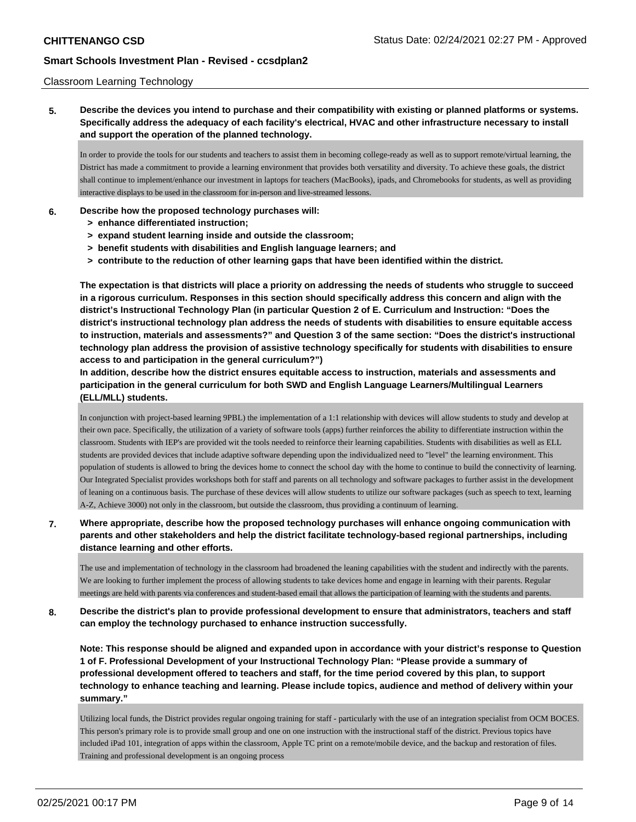### Classroom Learning Technology

**5. Describe the devices you intend to purchase and their compatibility with existing or planned platforms or systems. Specifically address the adequacy of each facility's electrical, HVAC and other infrastructure necessary to install and support the operation of the planned technology.**

In order to provide the tools for our students and teachers to assist them in becoming college-ready as well as to support remote/virtual learning, the District has made a commitment to provide a learning environment that provides both versatility and diversity. To achieve these goals, the district shall continue to implement/enhance our investment in laptops for teachers (MacBooks), ipads, and Chromebooks for students, as well as providing interactive displays to be used in the classroom for in-person and live-streamed lessons.

### **6. Describe how the proposed technology purchases will:**

- **> enhance differentiated instruction;**
- **> expand student learning inside and outside the classroom;**
- **> benefit students with disabilities and English language learners; and**
- **> contribute to the reduction of other learning gaps that have been identified within the district.**

**The expectation is that districts will place a priority on addressing the needs of students who struggle to succeed in a rigorous curriculum. Responses in this section should specifically address this concern and align with the district's Instructional Technology Plan (in particular Question 2 of E. Curriculum and Instruction: "Does the district's instructional technology plan address the needs of students with disabilities to ensure equitable access to instruction, materials and assessments?" and Question 3 of the same section: "Does the district's instructional technology plan address the provision of assistive technology specifically for students with disabilities to ensure access to and participation in the general curriculum?")**

**In addition, describe how the district ensures equitable access to instruction, materials and assessments and participation in the general curriculum for both SWD and English Language Learners/Multilingual Learners (ELL/MLL) students.**

In conjunction with project-based learning 9PBL) the implementation of a 1:1 relationship with devices will allow students to study and develop at their own pace. Specifically, the utilization of a variety of software tools (apps) further reinforces the ability to differentiate instruction within the classroom. Students with IEP's are provided wit the tools needed to reinforce their learning capabilities. Students with disabilities as well as ELL students are provided devices that include adaptive software depending upon the individualized need to "level" the learning environment. This population of students is allowed to bring the devices home to connect the school day with the home to continue to build the connectivity of learning. Our Integrated Specialist provides workshops both for staff and parents on all technology and software packages to further assist in the development of leaning on a continuous basis. The purchase of these devices will allow students to utilize our software packages (such as speech to text, learning A-Z, Achieve 3000) not only in the classroom, but outside the classroom, thus providing a continuum of learning.

# **7. Where appropriate, describe how the proposed technology purchases will enhance ongoing communication with parents and other stakeholders and help the district facilitate technology-based regional partnerships, including distance learning and other efforts.**

The use and implementation of technology in the classroom had broadened the leaning capabilities with the student and indirectly with the parents. We are looking to further implement the process of allowing students to take devices home and engage in learning with their parents. Regular meetings are held with parents via conferences and student-based email that allows the participation of learning with the students and parents.

# **8. Describe the district's plan to provide professional development to ensure that administrators, teachers and staff can employ the technology purchased to enhance instruction successfully.**

**Note: This response should be aligned and expanded upon in accordance with your district's response to Question 1 of F. Professional Development of your Instructional Technology Plan: "Please provide a summary of professional development offered to teachers and staff, for the time period covered by this plan, to support technology to enhance teaching and learning. Please include topics, audience and method of delivery within your summary."**

Utilizing local funds, the District provides regular ongoing training for staff - particularly with the use of an integration specialist from OCM BOCES. This person's primary role is to provide small group and one on one instruction with the instructional staff of the district. Previous topics have included iPad 101, integration of apps within the classroom, Apple TC print on a remote/mobile device, and the backup and restoration of files. Training and professional development is an ongoing process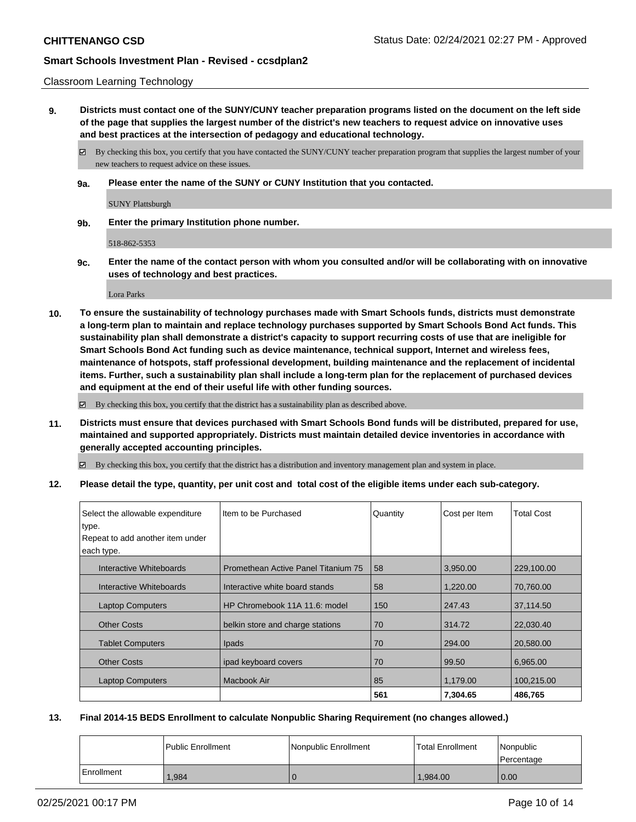### Classroom Learning Technology

**9. Districts must contact one of the SUNY/CUNY teacher preparation programs listed on the document on the left side of the page that supplies the largest number of the district's new teachers to request advice on innovative uses and best practices at the intersection of pedagogy and educational technology.**

By checking this box, you certify that you have contacted the SUNY/CUNY teacher preparation program that supplies the largest number of your new teachers to request advice on these issues.

**9a. Please enter the name of the SUNY or CUNY Institution that you contacted.**

SUNY Plattsburgh

**9b. Enter the primary Institution phone number.**

518-862-5353

**9c. Enter the name of the contact person with whom you consulted and/or will be collaborating with on innovative uses of technology and best practices.**

Lora Parks

**10. To ensure the sustainability of technology purchases made with Smart Schools funds, districts must demonstrate a long-term plan to maintain and replace technology purchases supported by Smart Schools Bond Act funds. This sustainability plan shall demonstrate a district's capacity to support recurring costs of use that are ineligible for Smart Schools Bond Act funding such as device maintenance, technical support, Internet and wireless fees, maintenance of hotspots, staff professional development, building maintenance and the replacement of incidental items. Further, such a sustainability plan shall include a long-term plan for the replacement of purchased devices and equipment at the end of their useful life with other funding sources.**

By checking this box, you certify that the district has a sustainability plan as described above.

**11. Districts must ensure that devices purchased with Smart Schools Bond funds will be distributed, prepared for use, maintained and supported appropriately. Districts must maintain detailed device inventories in accordance with generally accepted accounting principles.**

By checking this box, you certify that the district has a distribution and inventory management plan and system in place.

**12. Please detail the type, quantity, per unit cost and total cost of the eligible items under each sub-category.**

| Select the allowable expenditure          | Item to be Purchased                | Quantity | Cost per Item | <b>Total Cost</b> |
|-------------------------------------------|-------------------------------------|----------|---------------|-------------------|
| type.<br>Repeat to add another item under |                                     |          |               |                   |
| each type.                                |                                     |          |               |                   |
| Interactive Whiteboards                   | Promethean Active Panel Titanium 75 | 58       | 3.950.00      | 229,100.00        |
| Interactive Whiteboards                   | Interactive white board stands      | 58       | 1,220.00      | 70,760.00         |
| <b>Laptop Computers</b>                   | HP Chromebook 11A 11.6: model       | 150      | 247.43        | 37,114.50         |
| <b>Other Costs</b>                        | belkin store and charge stations    | 70       | 314.72        | 22,030.40         |
| <b>Tablet Computers</b>                   | <b>Ipads</b>                        | 70       | 294.00        | 20,580.00         |
| <b>Other Costs</b>                        | ipad keyboard covers                | 70       | 99.50         | 6.965.00          |
| <b>Laptop Computers</b>                   | Macbook Air                         | 85       | 1,179.00      | 100,215.00        |
|                                           |                                     | 561      | 7,304.65      | 486,765           |

# **13. Final 2014-15 BEDS Enrollment to calculate Nonpublic Sharing Requirement (no changes allowed.)**

|              | <b>Public Enrollment</b> | Nonpublic Enrollment | <b>Total Enrollment</b> | Nonpublic<br>l Percentage |
|--------------|--------------------------|----------------------|-------------------------|---------------------------|
| l Enrollment | .984                     |                      | 1.984.00                | 0.00                      |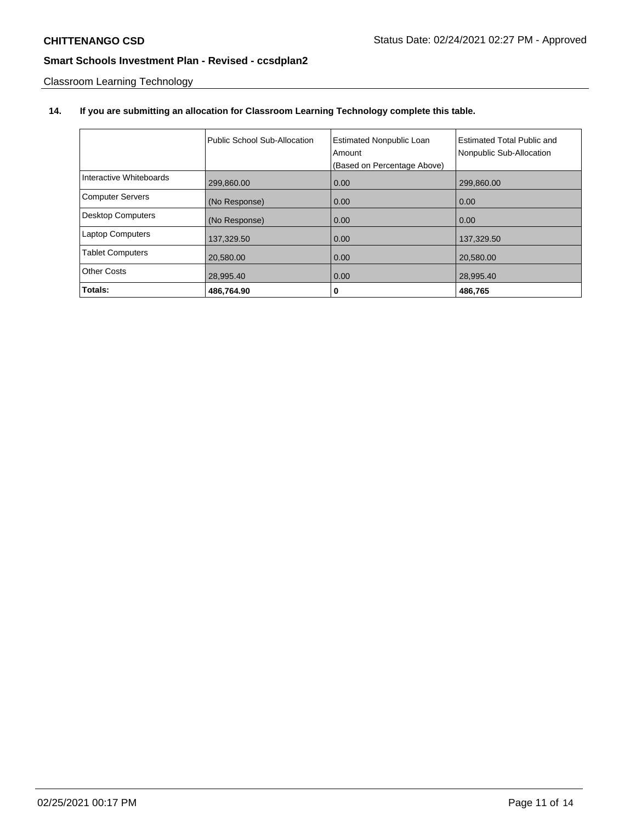Classroom Learning Technology

# **14. If you are submitting an allocation for Classroom Learning Technology complete this table.**

|                         | Public School Sub-Allocation | <b>Estimated Nonpublic Loan</b><br>Amount<br>(Based on Percentage Above) | Estimated Total Public and<br>Nonpublic Sub-Allocation |
|-------------------------|------------------------------|--------------------------------------------------------------------------|--------------------------------------------------------|
| Interactive Whiteboards | 299,860.00                   | 0.00                                                                     | 299,860.00                                             |
| <b>Computer Servers</b> | (No Response)                | 0.00                                                                     | 0.00                                                   |
| Desktop Computers       | (No Response)                | 0.00                                                                     | 0.00                                                   |
| <b>Laptop Computers</b> | 137,329.50                   | 0.00                                                                     | 137,329.50                                             |
| <b>Tablet Computers</b> | 20,580.00                    | 0.00                                                                     | 20,580.00                                              |
| Other Costs             | 28,995.40                    | 0.00                                                                     | 28,995.40                                              |
| Totals:                 | 486,764.90                   | 0                                                                        | 486,765                                                |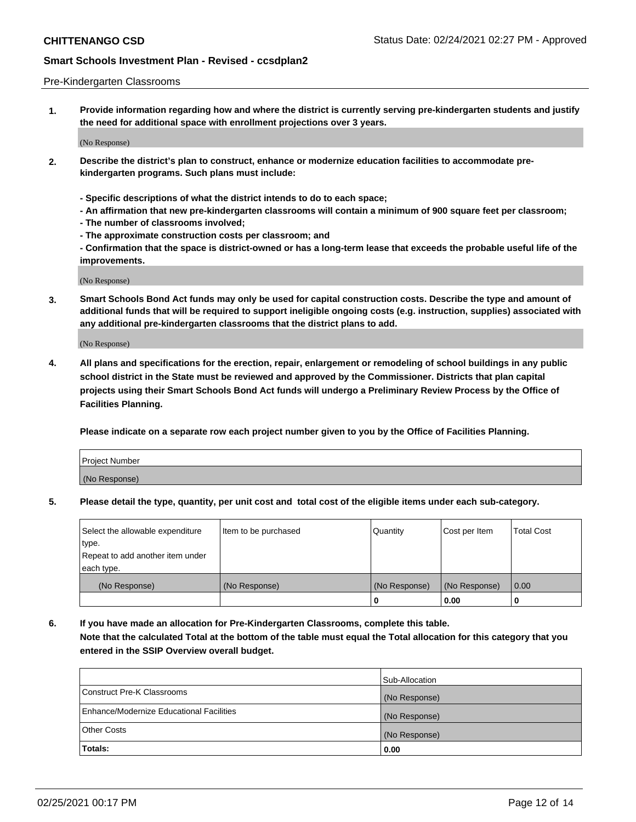### Pre-Kindergarten Classrooms

**1. Provide information regarding how and where the district is currently serving pre-kindergarten students and justify the need for additional space with enrollment projections over 3 years.**

(No Response)

- **2. Describe the district's plan to construct, enhance or modernize education facilities to accommodate prekindergarten programs. Such plans must include:**
	- **Specific descriptions of what the district intends to do to each space;**
	- **An affirmation that new pre-kindergarten classrooms will contain a minimum of 900 square feet per classroom;**
	- **The number of classrooms involved;**
	- **The approximate construction costs per classroom; and**
	- **Confirmation that the space is district-owned or has a long-term lease that exceeds the probable useful life of the improvements.**

(No Response)

**3. Smart Schools Bond Act funds may only be used for capital construction costs. Describe the type and amount of additional funds that will be required to support ineligible ongoing costs (e.g. instruction, supplies) associated with any additional pre-kindergarten classrooms that the district plans to add.**

(No Response)

**4. All plans and specifications for the erection, repair, enlargement or remodeling of school buildings in any public school district in the State must be reviewed and approved by the Commissioner. Districts that plan capital projects using their Smart Schools Bond Act funds will undergo a Preliminary Review Process by the Office of Facilities Planning.**

**Please indicate on a separate row each project number given to you by the Office of Facilities Planning.**

| Project Number |  |
|----------------|--|
| (No Response)  |  |
|                |  |

**5. Please detail the type, quantity, per unit cost and total cost of the eligible items under each sub-category.**

| Select the allowable expenditure | Item to be purchased | Quantity      | Cost per Item | <b>Total Cost</b> |
|----------------------------------|----------------------|---------------|---------------|-------------------|
| type.                            |                      |               |               |                   |
| Repeat to add another item under |                      |               |               |                   |
| each type.                       |                      |               |               |                   |
| (No Response)                    | (No Response)        | (No Response) | (No Response) | 0.00              |
|                                  |                      | U             | 0.00          |                   |

**6. If you have made an allocation for Pre-Kindergarten Classrooms, complete this table. Note that the calculated Total at the bottom of the table must equal the Total allocation for this category that you entered in the SSIP Overview overall budget.**

|                                          | Sub-Allocation |
|------------------------------------------|----------------|
| Construct Pre-K Classrooms               | (No Response)  |
| Enhance/Modernize Educational Facilities | (No Response)  |
| <b>Other Costs</b>                       | (No Response)  |
| Totals:                                  | 0.00           |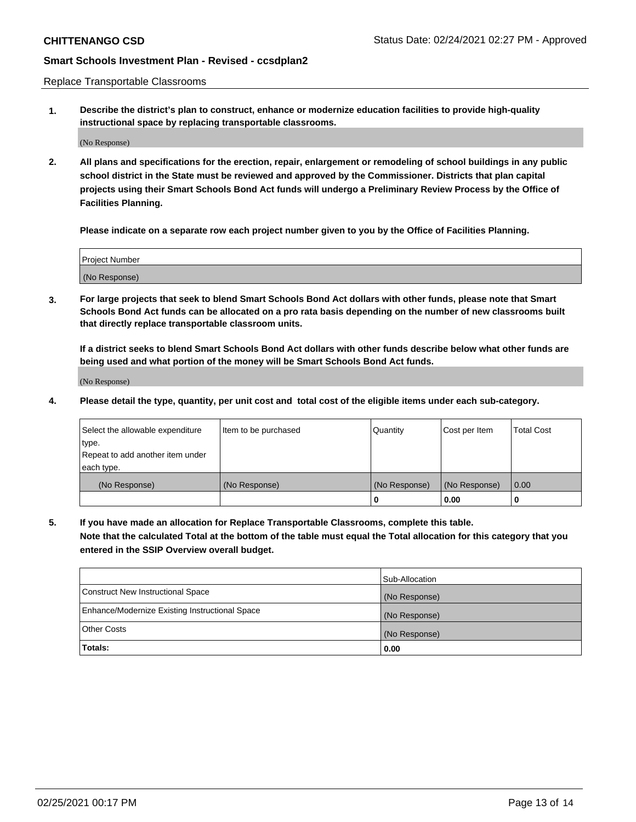Replace Transportable Classrooms

**1. Describe the district's plan to construct, enhance or modernize education facilities to provide high-quality instructional space by replacing transportable classrooms.**

(No Response)

**2. All plans and specifications for the erection, repair, enlargement or remodeling of school buildings in any public school district in the State must be reviewed and approved by the Commissioner. Districts that plan capital projects using their Smart Schools Bond Act funds will undergo a Preliminary Review Process by the Office of Facilities Planning.**

**Please indicate on a separate row each project number given to you by the Office of Facilities Planning.**

| Project Number |  |
|----------------|--|
|                |  |
|                |  |
|                |  |
| (No Response)  |  |
|                |  |
|                |  |

**3. For large projects that seek to blend Smart Schools Bond Act dollars with other funds, please note that Smart Schools Bond Act funds can be allocated on a pro rata basis depending on the number of new classrooms built that directly replace transportable classroom units.**

**If a district seeks to blend Smart Schools Bond Act dollars with other funds describe below what other funds are being used and what portion of the money will be Smart Schools Bond Act funds.**

(No Response)

**4. Please detail the type, quantity, per unit cost and total cost of the eligible items under each sub-category.**

| Select the allowable expenditure | Item to be purchased | Quantity      | Cost per Item | Total Cost |
|----------------------------------|----------------------|---------------|---------------|------------|
| ∣type.                           |                      |               |               |            |
| Repeat to add another item under |                      |               |               |            |
| each type.                       |                      |               |               |            |
| (No Response)                    | (No Response)        | (No Response) | (No Response) | 0.00       |
|                                  |                      | u             | 0.00          |            |

**5. If you have made an allocation for Replace Transportable Classrooms, complete this table. Note that the calculated Total at the bottom of the table must equal the Total allocation for this category that you entered in the SSIP Overview overall budget.**

|                                                | Sub-Allocation |
|------------------------------------------------|----------------|
| Construct New Instructional Space              | (No Response)  |
| Enhance/Modernize Existing Instructional Space | (No Response)  |
| Other Costs                                    | (No Response)  |
| Totals:                                        | 0.00           |